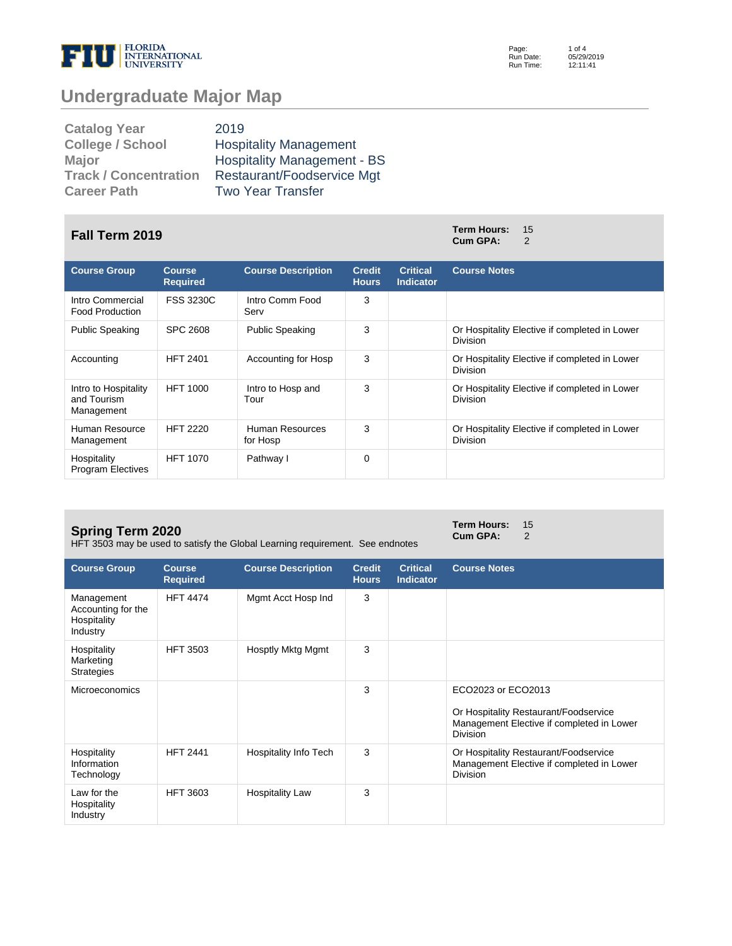

Page: Run Date: Run Time: 1 of 4 05/29/2019 12:11:41

# **Undergraduate Major Map**

| <b>Catalog Year</b>          | 2019                               |
|------------------------------|------------------------------------|
| <b>College / School</b>      | <b>Hospitality Management</b>      |
| <b>Major</b>                 | <b>Hospitality Management - BS</b> |
| <b>Track / Concentration</b> | Restaurant/Foodservice Mgt         |
| <b>Career Path</b>           | <b>Two Year Transfer</b>           |

# **Fall Term 2019 Term Hours:** <sup>15</sup>

| <b>Course Group</b>                               | <b>Course</b><br><b>Required</b> | <b>Course Description</b>   | <b>Credit</b><br><b>Hours</b> | <b>Critical</b><br><b>Indicator</b> | <b>Course Notes</b>                                              |
|---------------------------------------------------|----------------------------------|-----------------------------|-------------------------------|-------------------------------------|------------------------------------------------------------------|
| Intro Commercial<br><b>Food Production</b>        | <b>FSS 3230C</b>                 | Intro Comm Food<br>Serv     | 3                             |                                     |                                                                  |
| <b>Public Speaking</b>                            | SPC 2608                         | <b>Public Speaking</b>      | 3                             |                                     | Or Hospitality Elective if completed in Lower<br><b>Division</b> |
| Accounting                                        | <b>HFT 2401</b>                  | Accounting for Hosp         | 3                             |                                     | Or Hospitality Elective if completed in Lower<br><b>Division</b> |
| Intro to Hospitality<br>and Tourism<br>Management | <b>HFT 1000</b>                  | Intro to Hosp and<br>Tour   | 3                             |                                     | Or Hospitality Elective if completed in Lower<br><b>Division</b> |
| Human Resource<br>Management                      | <b>HFT 2220</b>                  | Human Resources<br>for Hosp | 3                             |                                     | Or Hospitality Elective if completed in Lower<br><b>Division</b> |
| Hospitality<br><b>Program Electives</b>           | <b>HFT 1070</b>                  | Pathway I                   | $\Omega$                      |                                     |                                                                  |

#### **Spring Term 2020**

HFT 3503 may be used to satisfy the Global Learning requirement. See endnotes

**Term Hours:** 15 **Cum GPA:** 2

**Cum GPA:** 

| <b>Course Group</b>                                         | <b>Course</b><br><b>Required</b> | <b>Course Description</b>    | <b>Credit</b><br><b>Hours</b> | <b>Critical</b><br><b>Indicator</b> | <b>Course Notes</b>                                                                                                         |
|-------------------------------------------------------------|----------------------------------|------------------------------|-------------------------------|-------------------------------------|-----------------------------------------------------------------------------------------------------------------------------|
| Management<br>Accounting for the<br>Hospitality<br>Industry | <b>HFT 4474</b>                  | Mgmt Acct Hosp Ind           | 3                             |                                     |                                                                                                                             |
| Hospitality<br>Marketing<br><b>Strategies</b>               | <b>HFT 3503</b>                  | Hosptly Mktg Mgmt            | 3                             |                                     |                                                                                                                             |
| <b>Microeconomics</b>                                       |                                  |                              | 3                             |                                     | ECO2023 or ECO2013<br>Or Hospitality Restaurant/Foodservice<br>Management Elective if completed in Lower<br><b>Division</b> |
| Hospitality<br>Information<br>Technology                    | <b>HFT 2441</b>                  | <b>Hospitality Info Tech</b> | 3                             |                                     | Or Hospitality Restaurant/Foodservice<br>Management Elective if completed in Lower<br><b>Division</b>                       |
| Law for the<br>Hospitality<br>Industry                      | <b>HFT 3603</b>                  | <b>Hospitality Law</b>       | 3                             |                                     |                                                                                                                             |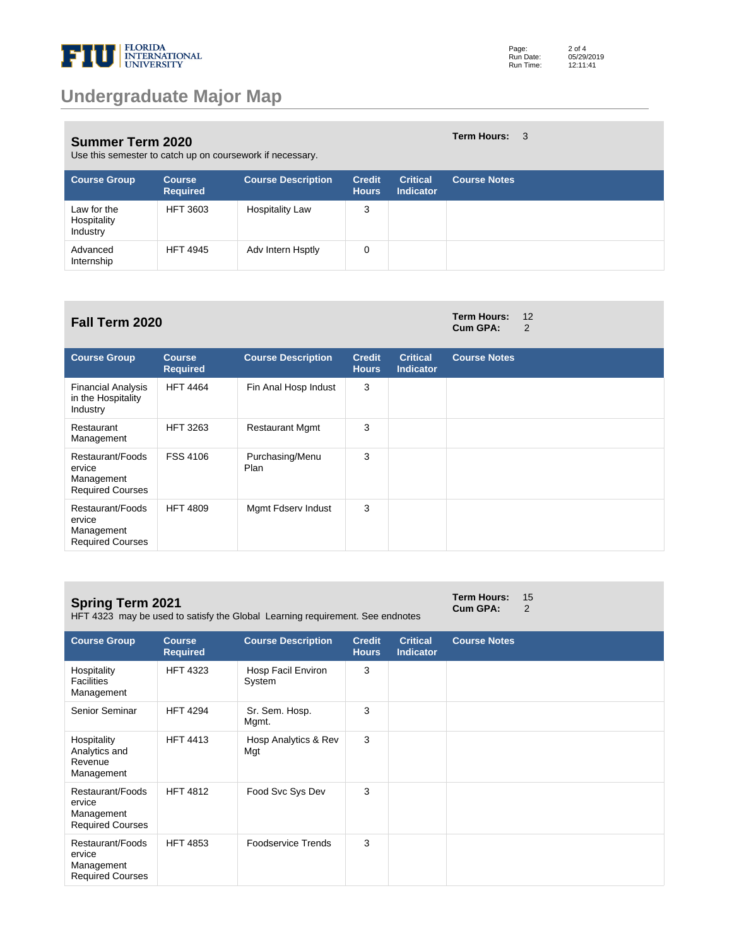

#### **Summer Term 2020** Use this semester to catch up on coursework if necessary.

| <b>Course Group</b>                    | <b>Course</b><br><b>Required</b> | <b>Course Description</b> | <b>Credit</b><br><b>Hours</b> | <b>Critical</b><br><b>Indicator</b> | <b>Course Notes</b> |
|----------------------------------------|----------------------------------|---------------------------|-------------------------------|-------------------------------------|---------------------|
| Law for the<br>Hospitality<br>Industry | <b>HFT 3603</b>                  | <b>Hospitality Law</b>    | 3                             |                                     |                     |
| Advanced<br>Internship                 | <b>HFT 4945</b>                  | Adv Intern Hsptly         | 0                             |                                     |                     |

## **Fall Term 2020 Term Hours:** <sup>12</sup>

| <b>Course Group</b>                                                 | <b>Course</b><br><b>Required</b> | <b>Course Description</b> | <b>Credit</b><br><b>Hours</b> | <b>Critical</b><br><b>Indicator</b> | <b>Course Notes</b> |
|---------------------------------------------------------------------|----------------------------------|---------------------------|-------------------------------|-------------------------------------|---------------------|
| <b>Financial Analysis</b><br>in the Hospitality<br>Industry         | <b>HFT 4464</b>                  | Fin Anal Hosp Indust      | 3                             |                                     |                     |
| Restaurant<br>Management                                            | <b>HFT 3263</b>                  | <b>Restaurant Mgmt</b>    | 3                             |                                     |                     |
| Restaurant/Foods<br>ervice<br>Management<br><b>Required Courses</b> | <b>FSS 4106</b>                  | Purchasing/Menu<br>Plan   | 3                             |                                     |                     |
| Restaurant/Foods<br>ervice<br>Management<br><b>Required Courses</b> | <b>HFT 4809</b>                  | Mgmt Fdserv Indust        | 3                             |                                     |                     |

### **Spring Term 2021**

Required Courses

HFT 4323 may be used to satisfy the Global Learning requirement. See endnotes

#### **Term Hours:** 15 **Cum GPA:** 2

**Course Group Course Required Course Description Credit Hours Critical Indicator Course Notes** Hospitality **Facilities** Management HFT 4323 Hosp Facil Environ System 3 Senior Seminar HFT 4294 Sr. Sem. Hosp. Mgmt. 3 Hospitality Analytics and Revenue Management HFT 4413 Hosp Analytics & Rev Mgt 3 Restaurant/Foods ervice Management Required Courses HFT 4812 Food Svc Sys Dev 3 Restaurant/Foods ervice Management HFT 4853 Foodservice Trends 3

**Term Hours:** 3

**Cum GPA:**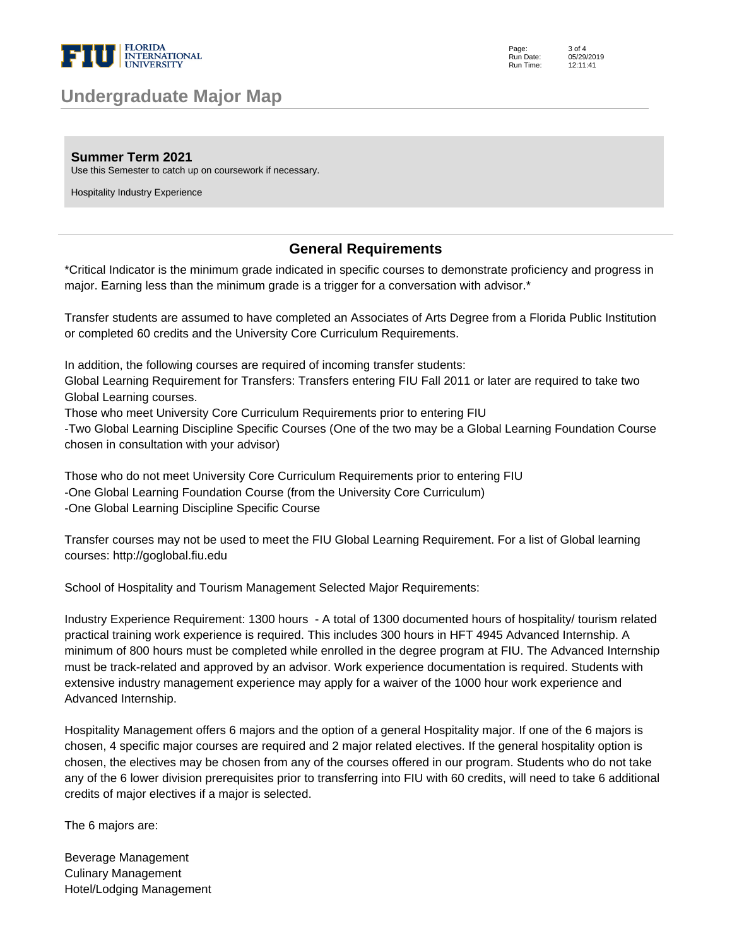

## **Undergraduate Major Map**

Page: Run Date: Run Time: 3 of 4 05/29/2019 12:11:41

**Summer Term 2021**

Use this Semester to catch up on coursework if necessary.

Hospitality Industry Experience

### **General Requirements**

\*Critical Indicator is the minimum grade indicated in specific courses to demonstrate proficiency and progress in major. Earning less than the minimum grade is a trigger for a conversation with advisor.\* 

Transfer students are assumed to have completed an Associates of Arts Degree from a Florida Public Institution or completed 60 credits and the University Core Curriculum Requirements. 

In addition, the following courses are required of incoming transfer students: 

Global Learning Requirement for Transfers: Transfers entering FIU Fall 2011 or later are required to take two Global Learning courses. 

Those who meet University Core Curriculum Requirements prior to entering FIU 

-Two Global Learning Discipline Specific Courses (One of the two may be a Global Learning Foundation Course chosen in consultation with your advisor) 

Those who do not meet University Core Curriculum Requirements prior to entering FIU -One Global Learning Foundation Course (from the University Core Curriculum) -One Global Learning Discipline Specific Course 

Transfer courses may not be used to meet the FIU Global Learning Requirement. For a list of Global learning courses: http://goglobal.fiu.edu 

School of Hospitality and Tourism Management Selected Major Requirements: 

Industry Experience Requirement: 1300 hours - A total of 1300 documented hours of hospitality/ tourism related practical training work experience is required. This includes 300 hours in HFT 4945 Advanced Internship. A minimum of 800 hours must be completed while enrolled in the degree program at FIU. The Advanced Internship must be track-related and approved by an advisor. Work experience documentation is required. Students with extensive industry management experience may apply for a waiver of the 1000 hour work experience and Advanced Internship. 

Hospitality Management offers 6 majors and the option of a general Hospitality major. If one of the 6 majors is chosen, 4 specific major courses are required and 2 major related electives. If the general hospitality option is chosen, the electives may be chosen from any of the courses offered in our program. Students who do not take any of the 6 lower division prerequisites prior to transferring into FIU with 60 credits, will need to take 6 additional credits of major electives if a major is selected.

The 6 majors are:

Beverage Management Culinary Management Hotel/Lodging Management